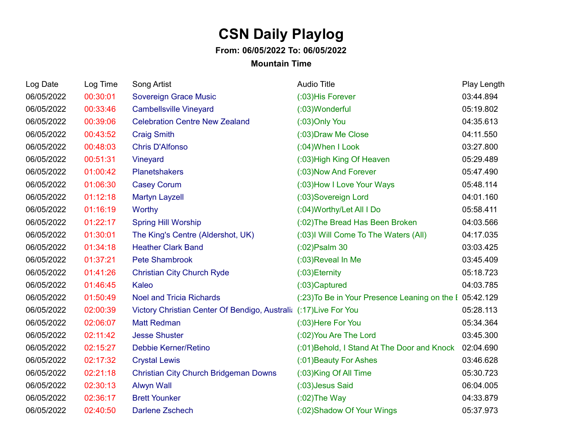## **CSN Daily Playlog**

## **From: 06/05/2022 To: 06/05/2022**

## **Mountain Time**

| Log Date   | Log Time | Song Artist                                                       | <b>Audio Title</b>                                      | Play Length |
|------------|----------|-------------------------------------------------------------------|---------------------------------------------------------|-------------|
| 06/05/2022 | 00:30:01 | <b>Sovereign Grace Music</b>                                      | (:03) His Forever                                       | 03:44.894   |
| 06/05/2022 | 00:33:46 | <b>Cambellsville Vineyard</b>                                     | (:03) Wonderful                                         | 05:19.802   |
| 06/05/2022 | 00:39:06 | <b>Celebration Centre New Zealand</b>                             | $(03)$ Only You                                         | 04:35.613   |
| 06/05/2022 | 00:43:52 | <b>Craig Smith</b>                                                | (:03) Draw Me Close                                     | 04:11.550   |
| 06/05/2022 | 00:48:03 | <b>Chris D'Alfonso</b>                                            | (:04) When I Look                                       | 03:27.800   |
| 06/05/2022 | 00:51:31 | Vineyard                                                          | (:03) High King Of Heaven                               | 05:29.489   |
| 06/05/2022 | 01:00:42 | <b>Planetshakers</b>                                              | (:03) Now And Forever                                   | 05:47.490   |
| 06/05/2022 | 01:06:30 | <b>Casey Corum</b>                                                | (:03) How I Love Your Ways                              | 05:48.114   |
| 06/05/2022 | 01:12:18 | <b>Martyn Layzell</b>                                             | (:03)Sovereign Lord                                     | 04:01.160   |
| 06/05/2022 | 01:16:19 | Worthy                                                            | (:04) Worthy/Let All I Do                               | 05:58.411   |
| 06/05/2022 | 01:22:17 | <b>Spring Hill Worship</b>                                        | (:02) The Bread Has Been Broken                         | 04:03.566   |
| 06/05/2022 | 01:30:01 | The King's Centre (Aldershot, UK)                                 | (:03)I Will Come To The Waters (All)                    | 04:17.035   |
| 06/05/2022 | 01:34:18 | <b>Heather Clark Band</b>                                         | $(02)$ Psalm 30                                         | 03:03.425   |
| 06/05/2022 | 01:37:21 | <b>Pete Shambrook</b>                                             | $(0.03)$ Reveal In Me                                   | 03:45.409   |
| 06/05/2022 | 01:41:26 | <b>Christian City Church Ryde</b>                                 | (:03) Eternity                                          | 05:18.723   |
| 06/05/2022 | 01:46:45 | Kaleo                                                             | $(03)$ Captured                                         | 04:03.785   |
| 06/05/2022 | 01:50:49 | <b>Noel and Tricia Richards</b>                                   | (:23) To Be in Your Presence Leaning on the I 05:42.129 |             |
| 06/05/2022 | 02:00:39 | Victory Christian Center Of Bendigo, Australia (:17) Live For You |                                                         | 05:28.113   |
| 06/05/2022 | 02:06:07 | <b>Matt Redman</b>                                                | (:03) Here For You                                      | 05:34.364   |
| 06/05/2022 | 02:11:42 | <b>Jesse Shuster</b>                                              | (:02) You Are The Lord                                  | 03:45.300   |
| 06/05/2022 | 02:15:27 | Debbie Kerner/Retino                                              | (:01) Behold, I Stand At The Door and Knock             | 02:04.690   |
| 06/05/2022 | 02:17:32 | <b>Crystal Lewis</b>                                              | (:01) Beauty For Ashes                                  | 03:46.628   |
| 06/05/2022 | 02:21:18 | <b>Christian City Church Bridgeman Downs</b>                      | (:03)King Of All Time                                   | 05:30.723   |
| 06/05/2022 | 02:30:13 | <b>Alwyn Wall</b>                                                 | (:03) Jesus Said                                        | 06:04.005   |
| 06/05/2022 | 02:36:17 | <b>Brett Younker</b>                                              | $(02)$ The Way                                          | 04:33.879   |
| 06/05/2022 | 02:40:50 | <b>Darlene Zschech</b>                                            | (:02) Shadow Of Your Wings                              | 05:37.973   |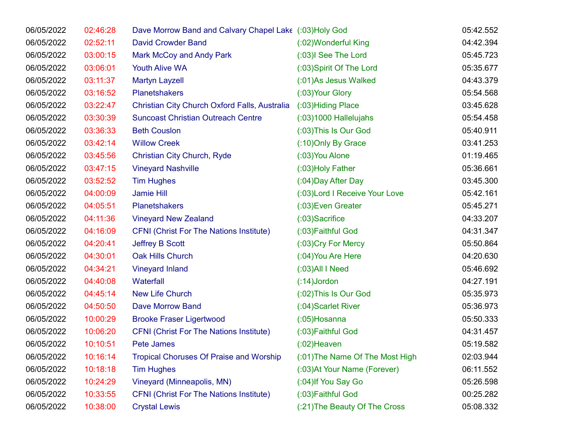| 06/05/2022 | 02:46:28 | Dave Morrow Band and Calvary Chapel Lake (:03)Holy God |                                 | 05:42.552 |
|------------|----------|--------------------------------------------------------|---------------------------------|-----------|
| 06/05/2022 | 02:52:11 | <b>David Crowder Band</b>                              | (:02) Wonderful King            | 04:42.394 |
| 06/05/2022 | 03:00:15 | <b>Mark McCoy and Andy Park</b>                        | (:03)I See The Lord             | 05:45.723 |
| 06/05/2022 | 03:06:01 | <b>Youth Alive WA</b>                                  | (:03) Spirit Of The Lord        | 05:35.677 |
| 06/05/2022 | 03:11:37 | <b>Martyn Layzell</b>                                  | (:01)As Jesus Walked            | 04:43.379 |
| 06/05/2022 | 03:16:52 | <b>Planetshakers</b>                                   | (:03) Your Glory                | 05:54.568 |
| 06/05/2022 | 03:22:47 | Christian City Church Oxford Falls, Australia          | (:03) Hiding Place              | 03:45.628 |
| 06/05/2022 | 03:30:39 | <b>Suncoast Christian Outreach Centre</b>              | $(03)1000$ Hallelujahs          | 05:54.458 |
| 06/05/2022 | 03:36:33 | <b>Beth Couslon</b>                                    | (:03) This Is Our God           | 05:40.911 |
| 06/05/2022 | 03:42:14 | <b>Willow Creek</b>                                    | (:10) Only By Grace             | 03:41.253 |
| 06/05/2022 | 03:45:56 | <b>Christian City Church, Ryde</b>                     | $(03)$ You Alone                | 01:19.465 |
| 06/05/2022 | 03:47:15 | <b>Vineyard Nashville</b>                              | (:03) Holy Father               | 05:36.661 |
| 06/05/2022 | 03:52:52 | <b>Tim Hughes</b>                                      | (:04) Day After Day             | 03:45.300 |
| 06/05/2022 | 04:00:09 | Jamie Hill                                             | (:03) Lord I Receive Your Love  | 05:42.161 |
| 06/05/2022 | 04:05:51 | <b>Planetshakers</b>                                   | (:03) Even Greater              | 05:45.271 |
| 06/05/2022 | 04:11:36 | <b>Vineyard New Zealand</b>                            | $(03)$ Sacrifice                | 04:33.207 |
| 06/05/2022 | 04:16:09 | <b>CFNI (Christ For The Nations Institute)</b>         | (:03) Faithful God              | 04:31.347 |
| 06/05/2022 | 04:20:41 | <b>Jeffrey B Scott</b>                                 | (:03) Cry For Mercy             | 05:50.864 |
| 06/05/2022 | 04:30:01 | Oak Hills Church                                       | $(.04)$ You Are Here            | 04:20.630 |
| 06/05/2022 | 04:34:21 | <b>Vineyard Inland</b>                                 | $(03)$ All I Need               | 05:46.692 |
| 06/05/2022 | 04:40:08 | Waterfall                                              | $(14)$ Jordon                   | 04:27.191 |
| 06/05/2022 | 04:45:14 | <b>New Life Church</b>                                 | (:02) This Is Our God           | 05:35.973 |
| 06/05/2022 | 04:50:50 | <b>Dave Morrow Band</b>                                | (:04) Scarlet River             | 05:36.973 |
| 06/05/2022 | 10:00:29 | <b>Brooke Fraser Ligertwood</b>                        | $(05)$ Hosanna                  | 05:50.333 |
| 06/05/2022 | 10:06:20 | <b>CFNI (Christ For The Nations Institute)</b>         | (:03) Faithful God              | 04:31.457 |
| 06/05/2022 | 10:10:51 | Pete James                                             | $(02)$ Heaven                   | 05:19.582 |
| 06/05/2022 | 10:16:14 | <b>Tropical Choruses Of Praise and Worship</b>         | (:01) The Name Of The Most High | 02:03.944 |
| 06/05/2022 | 10:18:18 | <b>Tim Hughes</b>                                      | (:03) At Your Name (Forever)    | 06:11.552 |
| 06/05/2022 | 10:24:29 | Vineyard (Minneapolis, MN)                             | (:04) If You Say Go             | 05:26.598 |
| 06/05/2022 | 10:33:55 | <b>CFNI (Christ For The Nations Institute)</b>         | (:03) Faithful God              | 00:25.282 |
| 06/05/2022 | 10:38:00 | <b>Crystal Lewis</b>                                   | (:21) The Beauty Of The Cross   | 05:08.332 |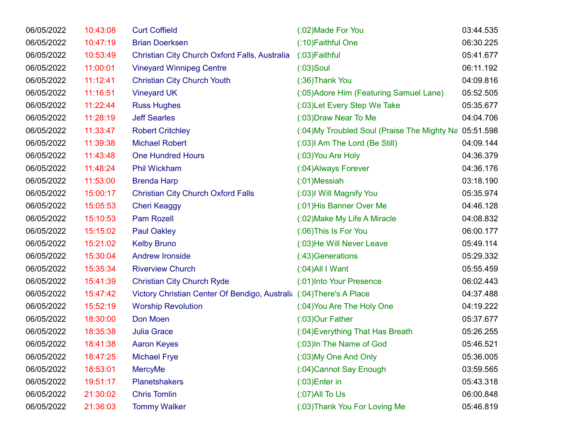| 06/05/2022 | 10:43:08 | <b>Curt Coffield</b>                                                 | (:02) Made For You                                     | 03:44.535 |
|------------|----------|----------------------------------------------------------------------|--------------------------------------------------------|-----------|
| 06/05/2022 | 10:47:19 | <b>Brian Doerksen</b>                                                | (:10) Faithful One                                     | 06:30.225 |
| 06/05/2022 | 10:53:49 | Christian City Church Oxford Falls, Australia                        | $(03)$ Faithful                                        | 05:41.677 |
| 06/05/2022 | 11:00:01 | <b>Vineyard Winnipeg Centre</b>                                      | $(03)$ Soul                                            | 06:11.192 |
| 06/05/2022 | 11:12:41 | <b>Christian City Church Youth</b>                                   | (:36) Thank You                                        | 04:09.816 |
| 06/05/2022 | 11:16:51 | <b>Vineyard UK</b>                                                   | (:05) Adore Him (Featuring Samuel Lane)                | 05:52.505 |
| 06/05/2022 | 11:22:44 | <b>Russ Hughes</b>                                                   | (:03) Let Every Step We Take                           | 05:35.677 |
| 06/05/2022 | 11:28:19 | <b>Jeff Searles</b>                                                  | (:03) Draw Near To Me                                  | 04:04.706 |
| 06/05/2022 | 11:33:47 | <b>Robert Critchley</b>                                              | (:04) My Troubled Soul (Praise The Mighty Na 05:51.598 |           |
| 06/05/2022 | 11:39:38 | <b>Michael Robert</b>                                                | (:03) Am The Lord (Be Still)                           | 04:09.144 |
| 06/05/2022 | 11:43:48 | <b>One Hundred Hours</b>                                             | (:03) You Are Holy                                     | 04:36.379 |
| 06/05/2022 | 11:48:24 | Phil Wickham                                                         | (:04) Always Forever                                   | 04:36.176 |
| 06/05/2022 | 11:53:00 | <b>Brenda Harp</b>                                                   | $(01)$ Messiah                                         | 03:18.190 |
| 06/05/2022 | 15:00:17 | <b>Christian City Church Oxford Falls</b>                            | (:03)I Will Magnify You                                | 05:35.974 |
| 06/05/2022 | 15:05:53 | <b>Cheri Keaggy</b>                                                  | (:01) His Banner Over Me                               | 04:46.128 |
| 06/05/2022 | 15:10:53 | Pam Rozell                                                           | (:02) Make My Life A Miracle                           | 04:08.832 |
| 06/05/2022 | 15:15:02 | <b>Paul Oakley</b>                                                   | (:06) This Is For You                                  | 06:00.177 |
| 06/05/2022 | 15:21:02 | <b>Kelby Bruno</b>                                                   | (:03) He Will Never Leave                              | 05:49.114 |
| 06/05/2022 | 15:30:04 | <b>Andrew Ironside</b>                                               | (:43) Generations                                      | 05:29.332 |
| 06/05/2022 | 15:35:34 | <b>Riverview Church</b>                                              | $(0.04)$ All I Want                                    | 05:55.459 |
| 06/05/2022 | 15:41:39 | <b>Christian City Church Ryde</b>                                    | (:01) Into Your Presence                               | 06:02.443 |
| 06/05/2022 | 15:47:42 | Victory Christian Center Of Bendigo, Australia (:04) There's A Place |                                                        | 04:37.488 |
| 06/05/2022 | 15:52:19 | <b>Worship Revolution</b>                                            | (:04) You Are The Holy One                             | 04:19.222 |
| 06/05/2022 | 18:30:00 | Don Moen                                                             | (:03)Our Father                                        | 05:37.677 |
| 06/05/2022 | 18:35:38 | <b>Julia Grace</b>                                                   | (:04) Everything That Has Breath                       | 05:26.255 |
| 06/05/2022 | 18:41:38 | <b>Aaron Keyes</b>                                                   | (:03) In The Name of God                               | 05:46.521 |
| 06/05/2022 | 18:47:25 | <b>Michael Frye</b>                                                  | (:03) My One And Only                                  | 05:36.005 |
| 06/05/2022 | 18:53:01 | <b>MercyMe</b>                                                       | (:04) Cannot Say Enough                                | 03:59.565 |
| 06/05/2022 | 19:51:17 | <b>Planetshakers</b>                                                 | $(03)$ Enter in                                        | 05:43.318 |
| 06/05/2022 | 21:30:02 | <b>Chris Tomlin</b>                                                  | $(07)$ All To Us                                       | 06:00.848 |
| 06/05/2022 | 21:36:03 | <b>Tommy Walker</b>                                                  | (:03) Thank You For Loving Me                          | 05:46.819 |